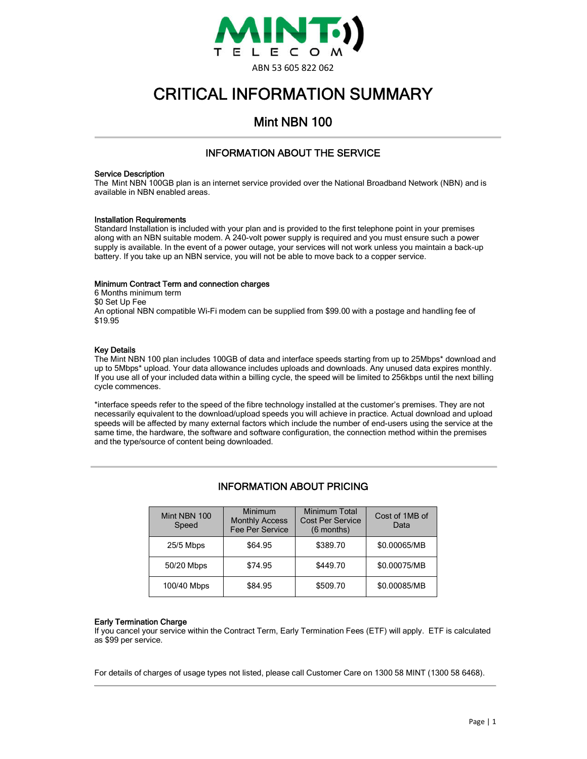

# CRITICAL INFORMATION SUMMARY

## Mint NBN 100

## INFORMATION ABOUT THE SERVICE

#### Service Description

The Mint NBN 100GB plan is an internet service provided over the National Broadband Network (NBN) and is available in NBN enabled areas.

#### Installation Requirements

Standard Installation is included with your plan and is provided to the first telephone point in your premises along with an NBN suitable modem. A 240-volt power supply is required and you must ensure such a power supply is available. In the event of a power outage, your services will not work unless you maintain a back-up battery. If you take up an NBN service, you will not be able to move back to a copper service.

#### Minimum Contract Term and connection charges

6 Months minimum term \$0 Set Up Fee An optional NBN compatible Wi-Fi modem can be supplied from \$99.00 with a postage and handling fee of \$19.95

#### Key Details

The Mint NBN 100 plan includes 100GB of data and interface speeds starting from up to 25Mbps\* download and up to 5Mbps\* upload. Your data allowance includes uploads and downloads. Any unused data expires monthly. If you use all of your included data within a billing cycle, the speed will be limited to 256kbps until the next billing cycle commences.

\*interface speeds refer to the speed of the fibre technology installed at the customer's premises. They are not necessarily equivalent to the download/upload speeds you will achieve in practice. Actual download and upload speeds will be affected by many external factors which include the number of end-users using the service at the same time, the hardware, the software and software configuration, the connection method within the premises and the type/source of content being downloaded.

| Mint NBN 100<br>Speed | Minimum<br><b>Monthly Access</b><br>Fee Per Service | <b>Minimum Total</b><br><b>Cost Per Service</b><br>$(6$ months) | Cost of 1MB of<br>Data |
|-----------------------|-----------------------------------------------------|-----------------------------------------------------------------|------------------------|
| 25/5 Mbps             | \$64.95                                             | \$389.70                                                        | \$0.00065/MB           |
| 50/20 Mbps            | \$74.95                                             | \$449.70                                                        | \$0.00075/MB           |
| 100/40 Mbps           | \$84.95                                             | \$509.70                                                        | \$0.00085/MB           |

## INFORMATION ABOUT PRICING

#### Early Termination Charge

If you cancel your service within the Contract Term, Early Termination Fees (ETF) will apply. ETF is calculated as \$99 per service.

For details of charges of usage types not listed, please call Customer Care on 1300 58 MINT (1300 58 6468).